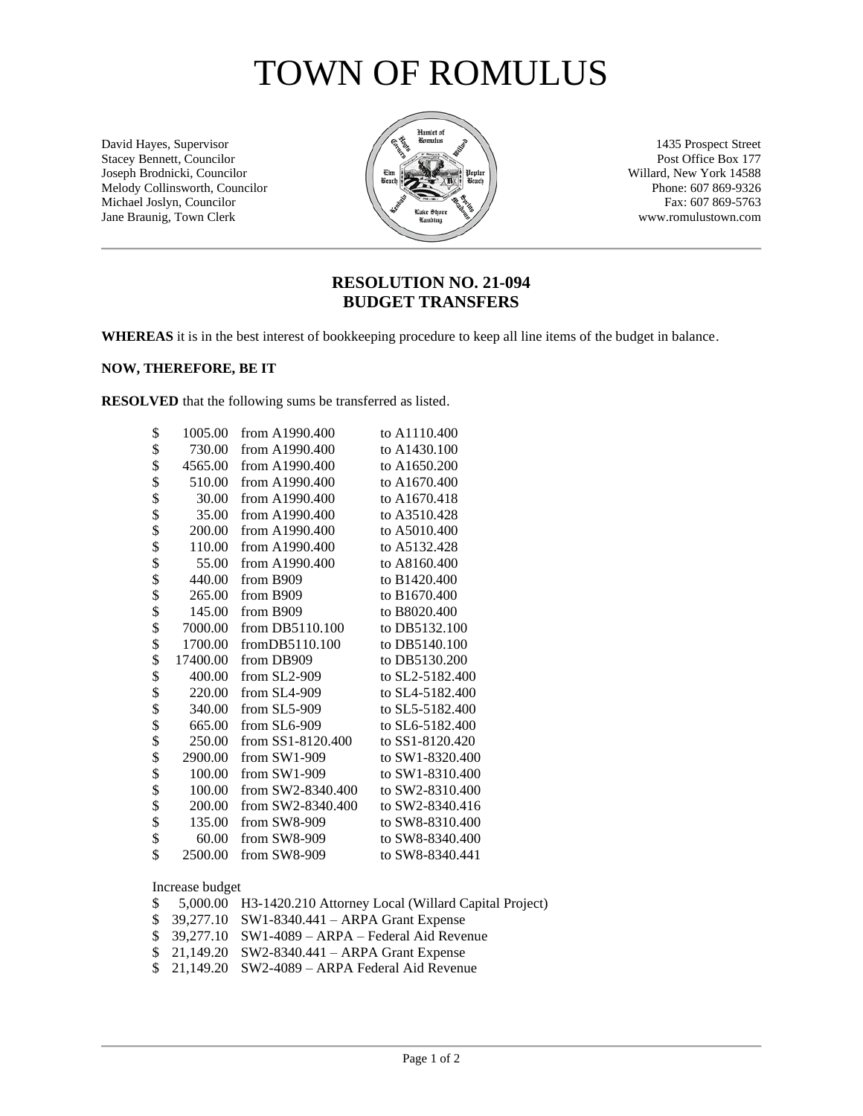## TOWN OF ROMULUS

David Hayes, Supervisor 1435 Prospect Street<br>Stacey Bennett, Councilor 177 Stacey Bennett, Councilor Post Office Box 177<br>Joseph Brodnicki, Councilor Post Office Box 177<br>Willard, New York 14588 Joseph Brodnicki, Councilor ( Etm ) Unput Upper Willard, New York 14588<br>Melody Collinsworth, Councilor (  $\frac{E_{\text{Bend}}{E_{\text{Bend}}}$  (  $\frac{E_{\text{Bend}}}{E_{\text{Bend}}}$  (  $\frac{E_{\text{Bend}}}{E_{\text{Bend}}}$  Phone: 607 869-9326 Melody Collinsworth, Councilor Phone: 607 869-9326<br>Michael Joslyn, Councilor Fax: 607 869-5763 Michael Joslyn, Councilor Fax: 607 869-5763<br>Jane Braunig, Town Clerk www.romulustown.com Jane Braunig, Town Clerk



### **RESOLUTION NO. 21-094 BUDGET TRANSFERS**

**WHEREAS** it is in the best interest of bookkeeping procedure to keep all line items of the budget in balance.

#### **NOW, THEREFORE, BE IT**

**RESOLVED** that the following sums be transferred as listed.

| \$<br>1005.00  | from A1990.400      | to A1110.400    |
|----------------|---------------------|-----------------|
| \$<br>730.00   | from A1990.400      | to A1430.100    |
| \$<br>4565.00  | from A1990.400      | to A1650.200    |
| \$<br>510.00   | from A1990.400      | to A1670.400    |
| \$<br>30.00    | from A1990.400      | to A1670.418    |
| \$<br>35.00    | from A1990.400      | to A3510.428    |
| \$<br>200.00   | from A1990.400      | to A5010.400    |
| \$<br>110.00   | from A1990.400      | to A5132.428    |
| \$<br>55.00    | from A1990.400      | to A8160.400    |
| \$<br>440.00   | from B909           | to B1420.400    |
| \$<br>265.00   | from B909           | to B1670.400    |
| \$<br>145.00   | from B909           | to B8020.400    |
| \$<br>7000.00  | from DB5110.100     | to DB5132.100   |
| \$<br>1700.00  | from DB5110.100     | to DB5140.100   |
| \$<br>17400.00 | from DB909          | to DB5130.200   |
| \$<br>400.00   | from $SL2-909$      | to SL2-5182.400 |
| \$<br>220.00   | from $SL4-909$      | to SL4-5182.400 |
| \$<br>340.00   | from $SL5-909$      | to SL5-5182.400 |
| \$<br>665.00   | from SL6-909        | to SL6-5182.400 |
| \$<br>250.00   | from $SS1-8120.400$ | to SS1-8120.420 |
| \$<br>2900.00  | from $SW1-909$      | to SW1-8320.400 |
| \$<br>100.00   | from $SW1-909$      | to SW1-8310.400 |
| \$<br>100.00   | from $SW2-8340.400$ | to SW2-8310.400 |
| \$<br>200.00   | from SW2-8340.400   | to SW2-8340.416 |
| \$<br>135.00   | from $SW8-909$      | to SW8-8310.400 |
| \$<br>60.00    | from $SW8-909$      | to SW8-8340.400 |
| \$<br>2500.00  | from SW8-909        | to SW8-8340.441 |

#### Increase budget

|  | \$ 5,000.00 H3-1420.210 Attorney Local (Willard Capital Project) |
|--|------------------------------------------------------------------|
|  | $$39,277.10$ SW1-8340.441 – ARPA Grant Expense                   |
|  | $$39,277.10$ SW1-4089 - ARPA - Federal Aid Revenue               |
|  | $$21,149.20$ SW2-8340.441 - ARPA Grant Expense                   |
|  | $$21,149.20$ SW2-4089 - ARPA Federal Aid Revenue                 |